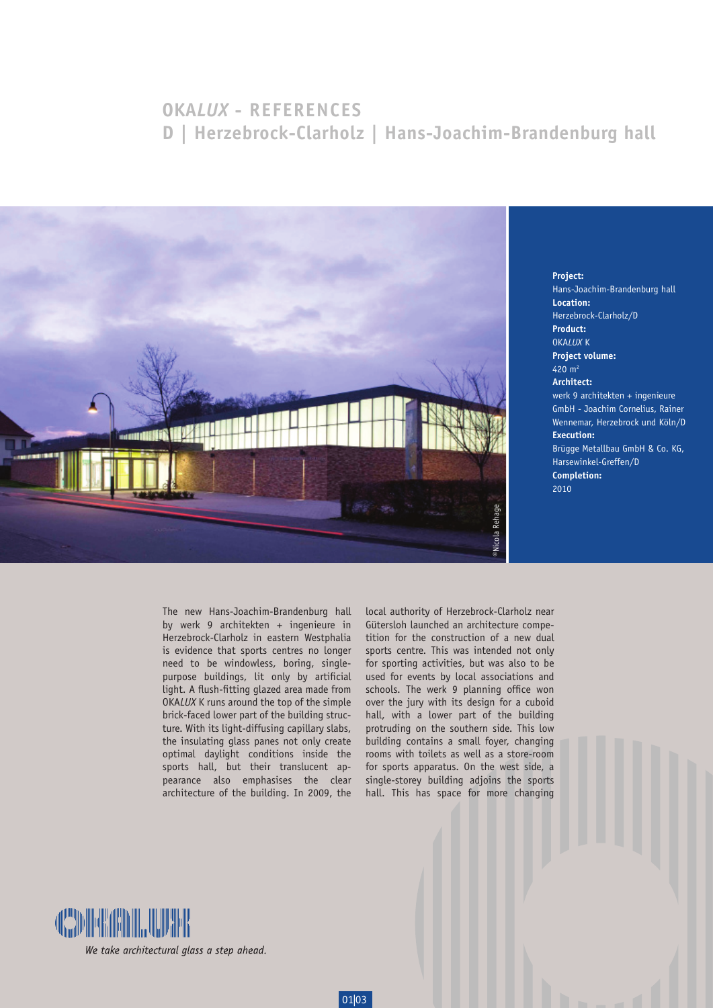## **OKA***LUX* **- REFERENCES D | Herzebrock-Clarholz | Hans-Joachim-Brandenburg hall**



Hans-Joachim-Brandenburg hall **Location:** Herzebrock-Clarholz/D **Product:** OKA*LUX* K **Project volume:** 420 m2 **Architect:** werk 9 architekten + ingenieure GmbH - Joachim Cornelius, Rainer Wennemar, Herzebrock und Köln/D **Execution:** Brügge Metallbau GmbH & Co. KG, Harsewinkel-Greffen/D **Completion:** 2010

**Project:**

The new Hans-Joachim-Brandenburg hall by werk 9 architekten + ingenieure in Herzebrock-Clarholz in eastern Westphalia is evidence that sports centres no longer need to be windowless, boring, singlepurpose buildings, lit only by artificial light. A flush-fitting glazed area made from OKA*LUX* K runs around the top of the simple brick-faced lower part of the building structure. With its light-diffusing capillary slabs, the insulating glass panes not only create optimal daylight conditions inside the sports hall, but their translucent appearance also emphasises the clear architecture of the building. In 2009, the

01|03

local authority of Herzebrock-Clarholz near Gütersloh launched an architecture competition for the construction of a new dual sports centre. This was intended not only for sporting activities, but was also to be used for events by local associations and schools. The werk 9 planning office won over the jury with its design for a cuboid hall, with a lower part of the building protruding on the southern side. This low building contains a small foyer, changing rooms with toilets as well as a store-room for sports apparatus. On the west side, a single-storey building adjoins the sports hall. This has space for more changing

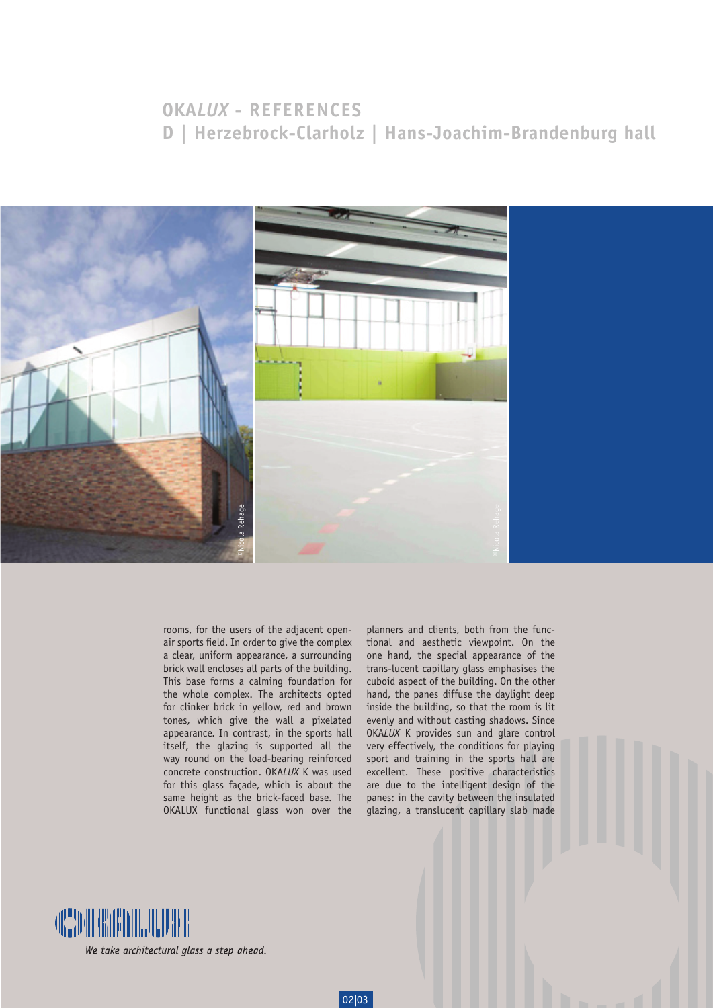## **OKA***LUX* **- REFERENCES D | Herzebrock-Clarholz | Hans-Joachim-Brandenburg hall**



rooms, for the users of the adjacent openair sports field. In order to give the complex a clear, uniform appearance, a surrounding brick wall encloses all parts of the building. This base forms a calming foundation for the whole complex. The architects opted for clinker brick in yellow, red and brown tones, which give the wall a pixelated appearance. In contrast, in the sports hall itself, the glazing is supported all the way round on the load-bearing reinforced concrete construction. OKA*LUX* K was used for this glass façade, which is about the same height as the brick-faced base. The OKALUX functional glass won over the

02|03

planners and clients, both from the functional and aesthetic viewpoint. On the one hand, the special appearance of the trans-lucent capillary glass emphasises the cuboid aspect of the building. On the other hand, the panes diffuse the daylight deep inside the building, so that the room is lit evenly and without casting shadows. Since OKA*LUX* K provides sun and glare control very effectively, the conditions for playing sport and training in the sports hall are excellent. These positive characteristics are due to the intelligent design of the panes: in the cavity between the insulated glazing, a translucent capillary slab made